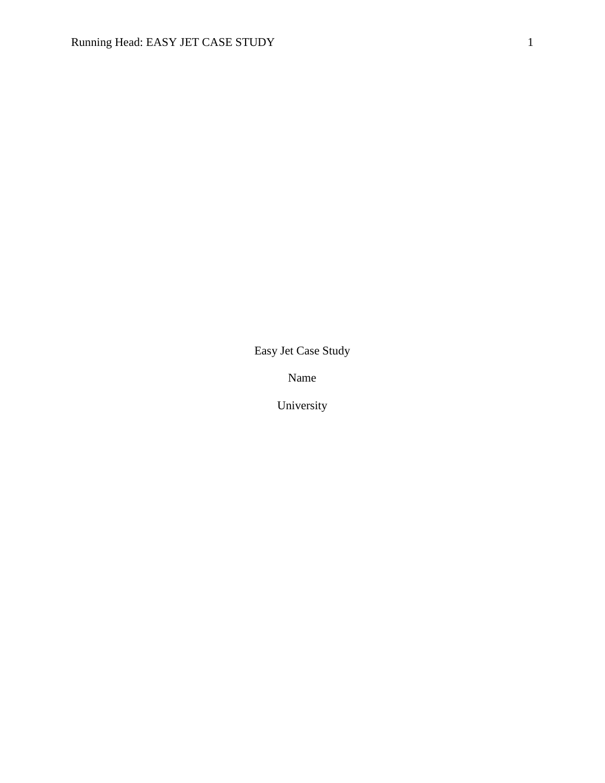Easy Jet Case Study

Name

University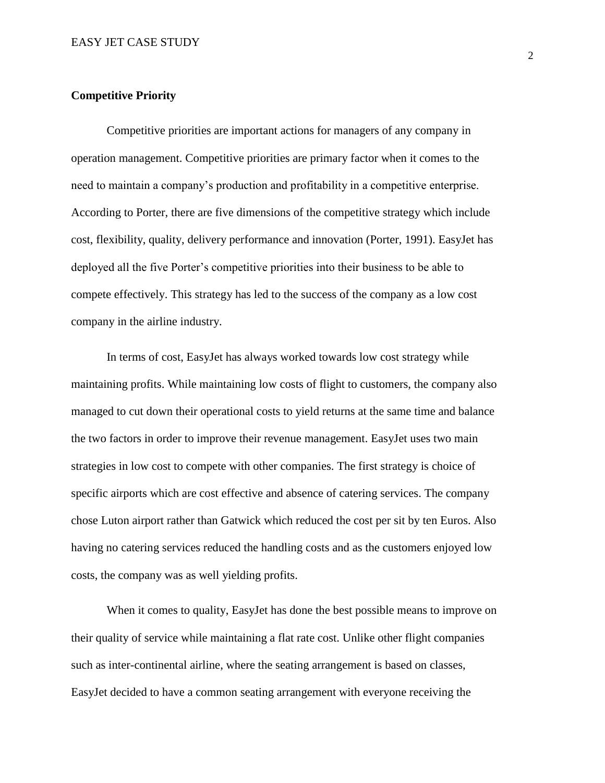## **Competitive Priority**

Competitive priorities are important actions for managers of any company in operation management. Competitive priorities are primary factor when it comes to the need to maintain a company's production and profitability in a competitive enterprise. According to Porter, there are five dimensions of the competitive strategy which include cost, flexibility, quality, delivery performance and innovation (Porter, 1991). EasyJet has deployed all the five Porter's competitive priorities into their business to be able to compete effectively. This strategy has led to the success of the company as a low cost company in the airline industry.

In terms of cost, EasyJet has always worked towards low cost strategy while maintaining profits. While maintaining low costs of flight to customers, the company also managed to cut down their operational costs to yield returns at the same time and balance the two factors in order to improve their revenue management. EasyJet uses two main strategies in low cost to compete with other companies. The first strategy is choice of specific airports which are cost effective and absence of catering services. The company chose Luton airport rather than Gatwick which reduced the cost per sit by ten Euros. Also having no catering services reduced the handling costs and as the customers enjoyed low costs, the company was as well yielding profits.

When it comes to quality, EasyJet has done the best possible means to improve on their quality of service while maintaining a flat rate cost. Unlike other flight companies such as inter-continental airline, where the seating arrangement is based on classes, EasyJet decided to have a common seating arrangement with everyone receiving the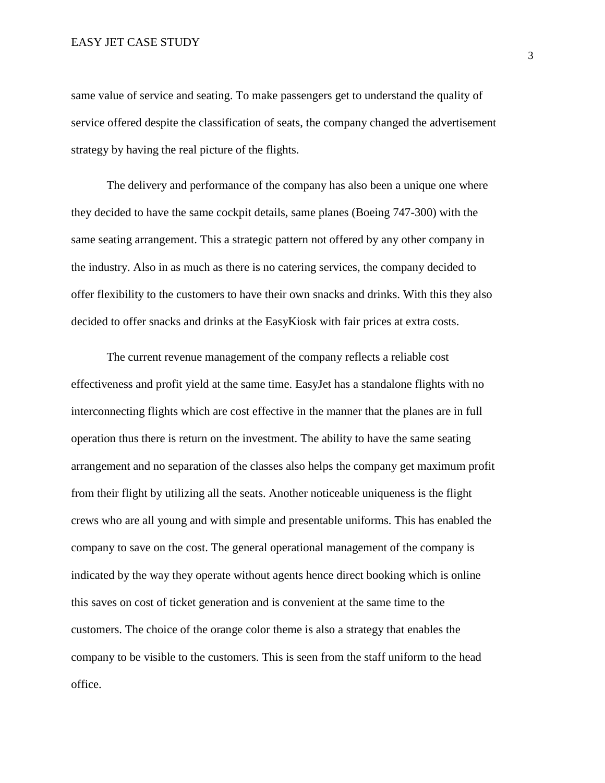### EASY JET CASE STUDY

same value of service and seating. To make passengers get to understand the quality of service offered despite the classification of seats, the company changed the advertisement strategy by having the real picture of the flights.

The delivery and performance of the company has also been a unique one where they decided to have the same cockpit details, same planes (Boeing 747-300) with the same seating arrangement. This a strategic pattern not offered by any other company in the industry. Also in as much as there is no catering services, the company decided to offer flexibility to the customers to have their own snacks and drinks. With this they also decided to offer snacks and drinks at the EasyKiosk with fair prices at extra costs.

The current revenue management of the company reflects a reliable cost effectiveness and profit yield at the same time. EasyJet has a standalone flights with no interconnecting flights which are cost effective in the manner that the planes are in full operation thus there is return on the investment. The ability to have the same seating arrangement and no separation of the classes also helps the company get maximum profit from their flight by utilizing all the seats. Another noticeable uniqueness is the flight crews who are all young and with simple and presentable uniforms. This has enabled the company to save on the cost. The general operational management of the company is indicated by the way they operate without agents hence direct booking which is online this saves on cost of ticket generation and is convenient at the same time to the customers. The choice of the orange color theme is also a strategy that enables the company to be visible to the customers. This is seen from the staff uniform to the head office.

3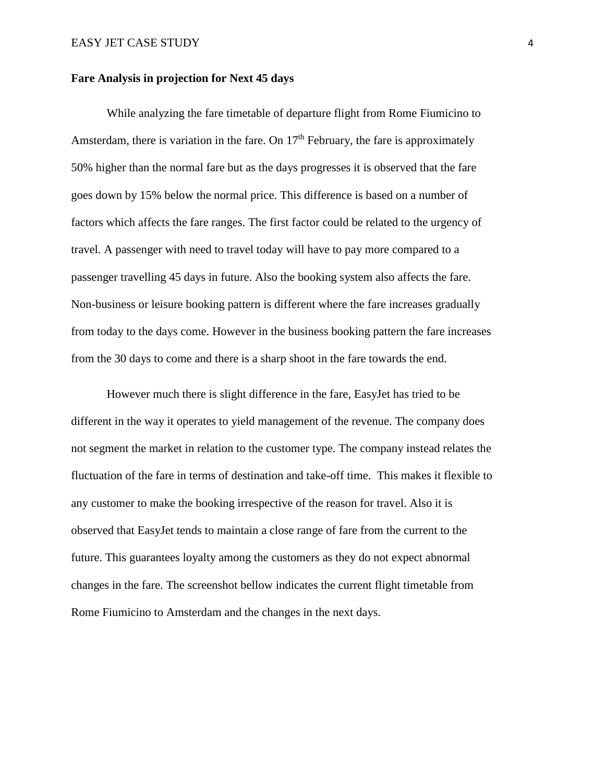#### **Fare Analysis in projection for Next 45 days**

While analyzing the fare timetable of departure flight from Rome Fiumicino to Amsterdam, there is variation in the fare. On  $17<sup>th</sup>$  February, the fare is approximately 50% higher than the normal fare but as the days progresses it is observed that the fare goes down by 15% below the normal price. This difference is based on a number of factors which affects the fare ranges. The first factor could be related to the urgency of travel. A passenger with need to travel today will have to pay more compared to a passenger travelling 45 days in future. Also the booking system also affects the fare. Non-business or leisure booking pattern is different where the fare increases gradually from today to the days come. However in the business booking pattern the fare increases from the 30 days to come and there is a sharp shoot in the fare towards the end.

However much there is slight difference in the fare, EasyJet has tried to be different in the way it operates to yield management of the revenue. The company does not segment the market in relation to the customer type. The company instead relates the fluctuation of the fare in terms of destination and take-off time. This makes it flexible to any customer to make the booking irrespective of the reason for travel. Also it is observed that EasyJet tends to maintain a close range of fare from the current to the future. This guarantees loyalty among the customers as they do not expect abnormal changes in the fare. The screenshot bellow indicates the current flight timetable from Rome Fiumicino to Amsterdam and the changes in the next days.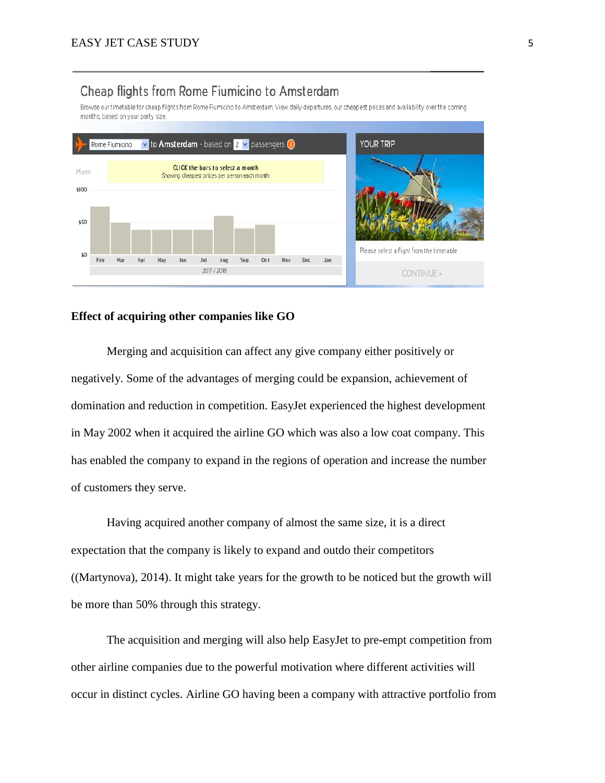# Cheap flights from Rome Fiumicino to Amsterdam

Browse our timetable for cheap flights from Rome Fiumicino to Amsterdam. View daily departures, our cheapest prices and availability over the coming months, based on your party size.



## **Effect of acquiring other companies like GO**

Merging and acquisition can affect any give company either positively or negatively. Some of the advantages of merging could be expansion, achievement of domination and reduction in competition. EasyJet experienced the highest development in May 2002 when it acquired the airline GO which was also a low coat company. This has enabled the company to expand in the regions of operation and increase the number of customers they serve.

Having acquired another company of almost the same size, it is a direct expectation that the company is likely to expand and outdo their competitors ((Martynova), 2014). It might take years for the growth to be noticed but the growth will be more than 50% through this strategy.

The acquisition and merging will also help EasyJet to pre-empt competition from other airline companies due to the powerful motivation where different activities will occur in distinct cycles. Airline GO having been a company with attractive portfolio from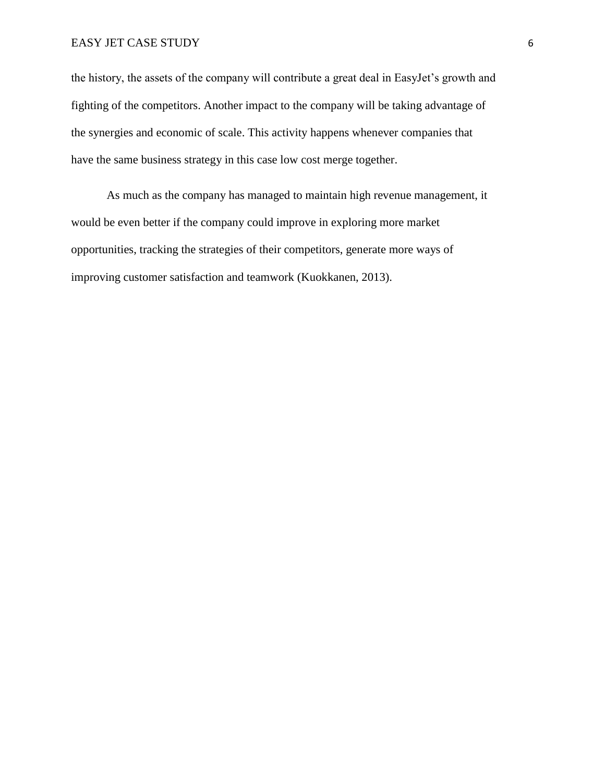### EASY JET CASE STUDY 6

the history, the assets of the company will contribute a great deal in EasyJet's growth and fighting of the competitors. Another impact to the company will be taking advantage of the synergies and economic of scale. This activity happens whenever companies that have the same business strategy in this case low cost merge together.

As much as the company has managed to maintain high revenue management, it would be even better if the company could improve in exploring more market opportunities, tracking the strategies of their competitors, generate more ways of improving customer satisfaction and teamwork (Kuokkanen, 2013).